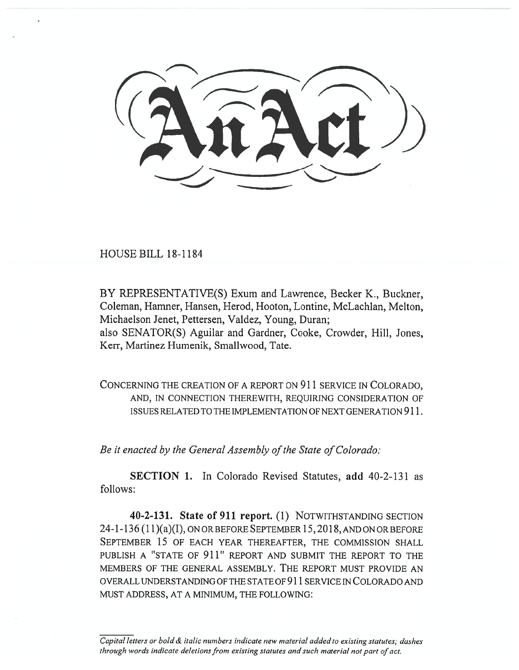HOUSE BILL 18-1184

BY REPRESENTATIVE(S) Exum and Lawrence, Becker K., Buckner, Coleman, Hamner, Hansen, Herod, Hooton, Lontine, McLachlan, Melton, Michaelson Jenet, Pettersen, Valdez, Young, Duran; also SENATOR(S) Aguilar and Gardner, Cooke, Crowder, Hill, Jones, Kerr, Martinez Humenik, Smallwood, Tate.

CONCERNING THE CREATION OF A REPORT ON 911 SERVICE IN COLORADO, AND, IN CONNECTION THEREWITH, REQUIRING CONSIDERATION OF ISSUES RELATED TO THE IMPLEMENTATION OF NEXT GENERATION 911.

*Be it enacted by the General Assembly of the State of Colorado:* 

**SECTION 1.** In Colorado Revised Statutes, **add** 40-2-131 as follows:

**40-2-131. State of 911 report. (1)** NOTWITHSTANDING SECTION 24-1-136 (11)(a)(I), ON OR BEFORE SEPTEMBER 15, 2018, AND ON OR BEFORE SEPTEMBER 15 OF EACH YEAR THEREAFTER, THE COMMISSION SHALL PUBLISH A "STATE OF 911" REPORT AND SUBMIT THE REPORT TO THE MEMBERS OF THE GENERAL ASSEMBLY. THE REPORT MUST PROVIDE AN OVERALL UNDERSTANDING OF THE STATE OF 911 SERVICE IN COLORADO AND MUST ADDRESS, AT A MINIMUM, THE FOLLOWING:

*Capital letters or bold & italic numbers indicate new material added to existing statutes; dashes through words indicate deletions from existing statutes and such material not part of act.*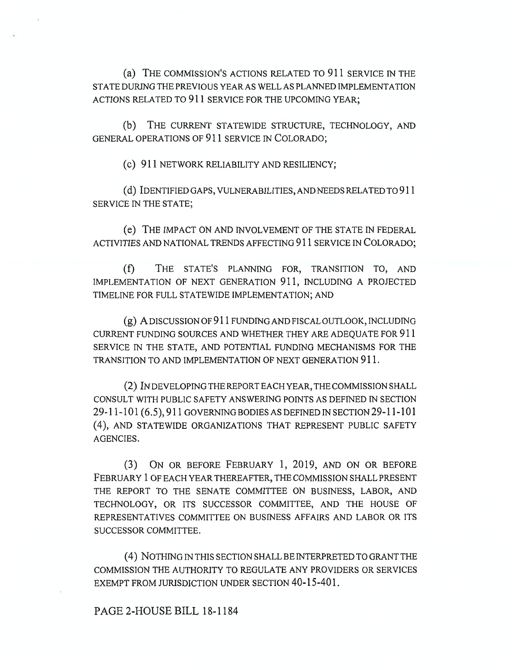(a) THE COMMISSION'S ACTIONS RELATED TO 911 SERVICE IN THE STATE DURING THE PREVIOUS YEAR AS WELL AS PLANNED IMPLEMENTATION ACTIONS RELATED TO 911 SERVICE FOR THE UPCOMING YEAR;

(b) THE CURRENT STATEWIDE STRUCTURE, TECHNOLOGY, AND GENERAL OPERATIONS OF 911 SERVICE TN COLORADO;

(c) 911 NETWORK RELIABILITY AND RESILIENCY;

(d) IDENTIFIED GAPS, VULNERABILITIES, AND NEEDS RELATED TO 911 SERVICE IN THE STATE;

(e) THE IMPACT ON AND INVOLVEMENT OF THE STATE IN FEDERAL ACTIVITIES AND NATIONAL TRENDS AFFECTING 911 SERVICE IN COLORADO;

(f) THE STATE'S PLANNING FOR, TRANSITION TO, AND IMPLEMENTATION OF NEXT GENERATION 911, INCLUDING A PROJECTED TIMELINE FOR FULL STATEWIDE IMPLEMENTATION; AND

(g) A DISCUSSION OF 911 FUNDING AND FISCAL OUTLOOK, INCLUDING CURRENT FUNDING SOURCES AND WHETHER THEY ARE ADEQUATE FOR 911 SERVICE IN THE STATE, AND POTENTIAL FUNDING MECHANISMS FOR THE TRANSITION TO AND IMPLEMENTATION OF NEXT GENERATION 911.

(2) IN DEVELOPING THE REPORT EACH YEAR, THE COMMISSION SHALL CONSULT WITH PUBLIC SAFETY ANSWERING POINTS AS DEFINED IN SECTION 29-11-101(6.5), 911 GOVERNING BODIES AS DEFINED IN SECTION 29-11-101 (4), AND STATEWIDE ORGANIZATIONS THAT REPRESENT PUBLIC SAFETY AGENCIES.

(3) ON OR BEFORE FEBRUARY 1, 2019, AND ON OR BEFORE FEBRUARY 1 OF EACH YEAR THEREAFTER, THE COMMISSION SHALL PRESENT THE REPORT TO THE SENATE COMMITTEE ON BUSINESS, LABOR, AND TECHNOLOGY, OR ITS SUCCESSOR COMMITTEE, AND THE HOUSE OF REPRESENTATIVES COMMITTEE ON BUSINESS AFFAIRS AND LABOR OR ITS SUCCESSOR COMMITTEE.

(4) NOTHING IN THIS SECTION SHALL BE INTERPRETED TO GRANT THE COMMISSION THE AUTHORITY TO REGULATE ANY PROVIDERS OR SERVICES EXEMPT FROM JURISDICTION UNDER SECTION 40-15-401.

PAGE 2-HOUSE BILL 18-1184